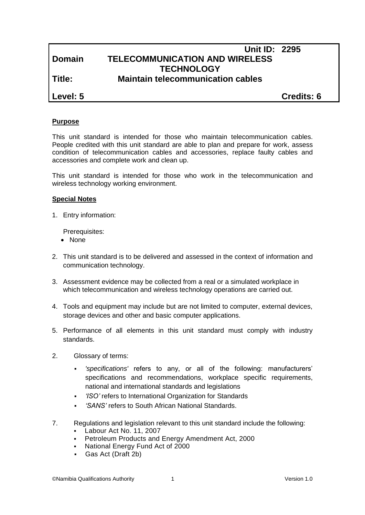## **Unit ID: 2295 Domain TELECOMMUNICATION AND WIRELESS TECHNOLOGY Title: Maintain telecommunication cables**

**Level: 5 Credits: 6**

#### **Purpose**

This unit standard is intended for those who maintain telecommunication cables. People credited with this unit standard are able to plan and prepare for work, assess condition of telecommunication cables and accessories, replace faulty cables and accessories and complete work and clean up.

This unit standard is intended for those who work in the telecommunication and wireless technology working environment.

#### **Special Notes**

1. Entry information:

Prerequisites:

- None
- 2. This unit standard is to be delivered and assessed in the context of information and communication technology.
- 3. Assessment evidence may be collected from a real or a simulated workplace in which telecommunication and wireless technology operations are carried out.
- 4. Tools and equipment may include but are not limited to computer, external devices, storage devices and other and basic computer applications.
- 5. Performance of all elements in this unit standard must comply with industry standards.
- 2. Glossary of terms:
	- *'specifications'* refers to any, or all of the following: manufacturers' specifications and recommendations, workplace specific requirements, national and international standards and legislations
	- *'ISO'* refers to International Organization for Standards
	- *'SANS'* refers to South African National Standards.
- 7. Regulations and legislation relevant to this unit standard include the following:
	- Labour Act No. 11, 2007
	- **Petroleum Products and Energy Amendment Act, 2000**
	- National Energy Fund Act of 2000
	- Gas Act (Draft 2b)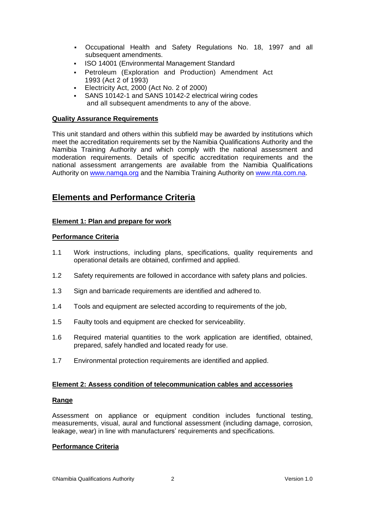- Occupational Health and Safety Regulations No. 18, 1997 and all subsequent amendments.
- ISO 14001 (Environmental Management Standard
- Petroleum (Exploration and Production) Amendment Act 1993 (Act 2 of 1993)
- Electricity Act, 2000 (Act No. 2 of 2000)
- SANS 10142-1 and SANS 10142-2 electrical wiring codes and all subsequent amendments to any of the above.

#### **Quality Assurance Requirements**

This unit standard and others within this subfield may be awarded by institutions which meet the accreditation requirements set by the Namibia Qualifications Authority and the Namibia Training Authority and which comply with the national assessment and moderation requirements. Details of specific accreditation requirements and the national assessment arrangements are available from the Namibia Qualifications Authority on [www.namqa.org](http://www.namqa.org/) and the Namibia Training Authority on [www.nta.com.na.](http://www.nta.com.na/)

# **Elements and Performance Criteria**

### **Element 1: Plan and prepare for work**

#### **Performance Criteria**

- 1.1 Work instructions, including plans, specifications, quality requirements and operational details are obtained, confirmed and applied.
- 1.2 Safety requirements are followed in accordance with safety plans and policies.
- 1.3 Sign and barricade requirements are identified and adhered to.
- 1.4 Tools and equipment are selected according to requirements of the job,
- 1.5 Faulty tools and equipment are checked for serviceability.
- 1.6 Required material quantities to the work application are identified, obtained, prepared, safely handled and located ready for use.
- 1.7 Environmental protection requirements are identified and applied.

#### **Element 2: Assess condition of telecommunication cables and accessories**

#### **Range**

Assessment on appliance or equipment condition includes functional testing, measurements, visual, aural and functional assessment (including damage, corrosion, leakage, wear) in line with manufacturers' requirements and specifications.

#### **Performance Criteria**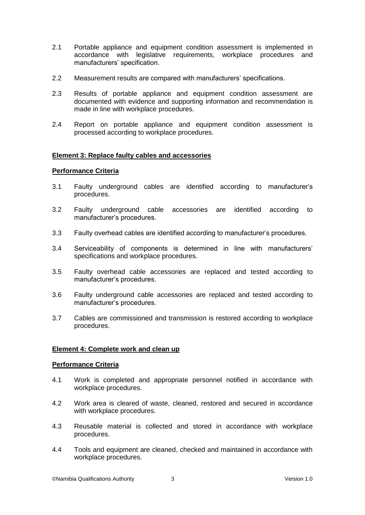- 2.1 Portable appliance and equipment condition assessment is implemented in accordance with legislative requirements, workplace procedures and manufacturers' specification.
- 2.2 Measurement results are compared with manufacturers' specifications.
- 2.3 Results of portable appliance and equipment condition assessment are documented with evidence and supporting information and recommendation is made in line with workplace procedures.
- 2.4 Report on portable appliance and equipment condition assessment is processed according to workplace procedures.

### **Element 3: Replace faulty cables and accessories**

#### **Performance Criteria**

- 3.1 Faulty underground cables are identified according to manufacturer's procedures.
- 3.2 Faulty underground cable accessories are identified according to manufacturer's procedures.
- 3.3 Faulty overhead cables are identified according to manufacturer's procedures.
- 3.4 Serviceability of components is determined in line with manufacturers' specifications and workplace procedures.
- 3.5 Faulty overhead cable accessories are replaced and tested according to manufacturer's procedures.
- 3.6 Faulty underground cable accessories are replaced and tested according to manufacturer's procedures.
- 3.7 Cables are commissioned and transmission is restored according to workplace procedures.

### **Element 4: Complete work and clean up**

#### **Performance Criteria**

- 4.1 Work is completed and appropriate personnel notified in accordance with workplace procedures.
- 4.2 Work area is cleared of waste, cleaned, restored and secured in accordance with workplace procedures.
- 4.3 Reusable material is collected and stored in accordance with workplace procedures.
- 4.4 Tools and equipment are cleaned, checked and maintained in accordance with workplace procedures.